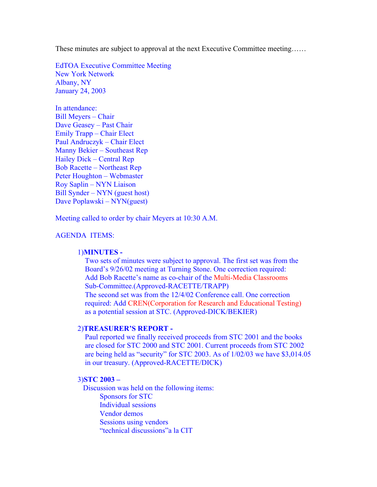These minutes are subject to approval at the next Executive Committee meeting……

EdTOA Executive Committee Meeting New York Network Albany, NY January 24, 2003

In attendance: Bill Meyers – Chair Dave Geasey – Past Chair Emily Trapp – Chair Elect Paul Andruczyk – Chair Elect Manny Bekier – Southeast Rep Hailey Dick – Central Rep Bob Racette – Northeast Rep Peter Houghton – Webmaster Roy Saplin – NYN Liaison Bill Synder – NYN (guest host) Dave Poplawski – NYN(guest)

Meeting called to order by chair Meyers at 10:30 A.M.

# AGENDA ITEMS:

### 1)**MINUTES -**

 Two sets of minutes were subject to approval. The first set was from the Board's 9/26/02 meeting at Turning Stone. One correction required: Add Bob Racette's name as co-chair of the Multi-Media Classrooms Sub-Committee.(Approved-RACETTE/TRAPP) The second set was from the 12/4/02 Conference call. One correction required: Add CREN(Corporation for Research and Educational Testing) as a potential session at STC. (Approved-DICK/BEKIER)

# 2)**TREASURER'S REPORT -**

 Paul reported we finally received proceeds from STC 2001 and the books are closed for STC 2000 and STC 2001. Current proceeds from STC 2002 are being held as "security" for STC 2003. As of 1/02/03 we have \$3,014.05 in our treasury. (Approved-RACETTE/DICK)

#### 3)**STC 2003 –**

Discussion was held on the following items: Sponsors for STC Individual sessions Vendor demos Sessions using vendors "technical discussions"a la CIT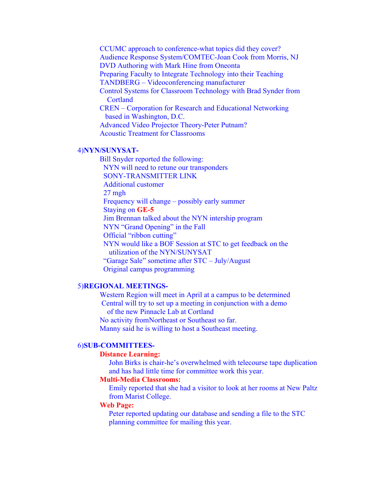CCUMC approach to conference-what topics did they cover? Audience Response System/COMTEC-Joan Cook from Morris, NJ DVD Authoring with Mark Hine from Oneonta Preparing Faculty to Integrate Technology into their Teaching TANDBERG – Videoconferencing manufacturer Control Systems for Classroom Technology with Brad Synder from **Cortland**  CREN – Corporation for Research and Educational Networking based in Washington, D.C. Advanced Video Projector Theory-Peter Putnam? Acoustic Treatment for Classrooms

## 4)**NYN/SUNYSAT-**

Bill Snyder reported the following: NYN will need to retune our transponders SONY-TRANSMITTER LINK Additional customer 27 mgh Frequency will change – possibly early summer Staying on **GE-5** Jim Brennan talked about the NYN intership program NYN "Grand Opening" in the Fall Official "ribbon cutting" NYN would like a BOF Session at STC to get feedback on the utilization of the NYN/SUNYSAT "Garage Sale" sometime after STC – July/August Original campus programming

### 5)**REGIONAL MEETINGS-**

Western Region will meet in April at a campus to be determined Central will try to set up a meeting in conjunction with a demo of the new Pinnacle Lab at Cortland No activity fromNortheast or Southeast so far. Manny said he is willing to host a Southeast meeting.

#### 6)**SUB-COMMITTEES-**

#### **Distance Learning:**

John Birks is chair-he's overwhelmed with telecourse tape duplication and has had little time for committee work this year.

# **Multi-Media Classrooms:**

 Emily reported that she had a visitor to look at her rooms at New Paltz from Marist College.

### **Web Page:**

Peter reported updating our database and sending a file to the STC planning committee for mailing this year.